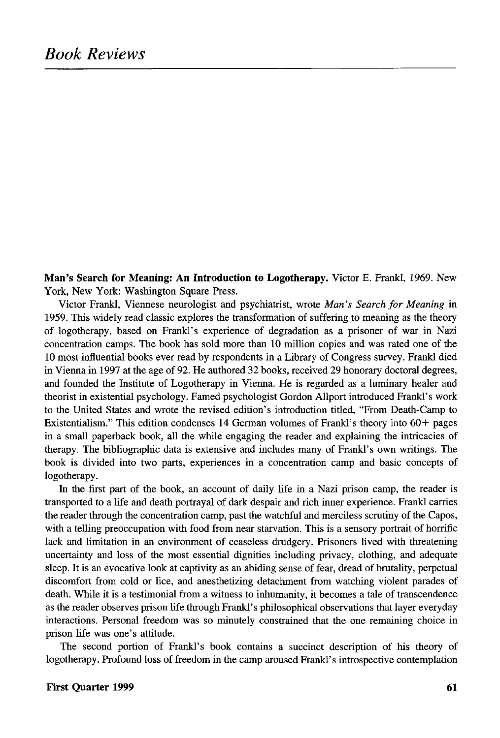**Man's Search for Meaning: An Introduction to Logotherapy.** Victor E. Frankl, 1969. New York, New York: Washington Square Press.

Victor Frankl, Viennese neurologist and psychiatrist, wrote *Man's Search for Meaning* in 1959. This widely read classic explores the transformation of suffering to meaning as the theory of logotherapy, based on Frankl's experience of degradation as a prisoner of war in Nazi concentration camps. The book has sold more than 10 million copies and was rated one of the 10 most influential books ever read by respondents in a Library of Congress survey. Frankl died in Vienna in 1997 at the age of 92. He authored 32 books, received 29 honorary doctoral degrees, and founded the Institute of Logotherapy in Vienna. He is regarded as a luminary healer and theorist in existential psychology. Famed psychologist Gordon Allport introduced Frankl's work to the United States and wrote the revised edition's introduction titled, "From Death-Camp to Existentialism." This edition condenses 14 German volumes of Frankl's theory into 60+ pages in a small paperback book, all the while engaging the reader and explaining the intricacies of therapy. The bibliographic data is extensive and includes many of Frankl's own writings. The book is divided into two parts, experiences in a concentration camp and basic concepts of logotherapy.

In the first part of the book, an account of daily life in a Nazi prison camp, the reader is transported to a life and death portrayal of dark despair and rich inner experience. Frankl carries the reader through the concentration camp, past the watchful and merciless scrutiny of the Capos, with a telling preoccupation with food from near starvation. This is a sensory portrait of horrific lack and limitation in an environment of ceaseless drudgery. Prisoners lived with threatening uncertainty and loss of the most essential dignities including privacy, clothing, and adequate sleep. It is an evocative look at captivity as an abiding sense of fear, dread of brutality, perpetual discomfort from cold or lice, and anesthetizing detachment from watching violent parades of death. While it is a testimonial from a witness to inhumanity, it becomes a tale of transcendence as the reader observes prison life through Frankl's philosophical observations that layer everyday interactions. Personal freedom was so minutely constrained that the one remaining choice in prison life was one's attitude.

The second portion of Frankl's book contains a succinct description of his theory of logotherapy. Profound loss of freedom in the camp aroused Frankl's introspective contemplation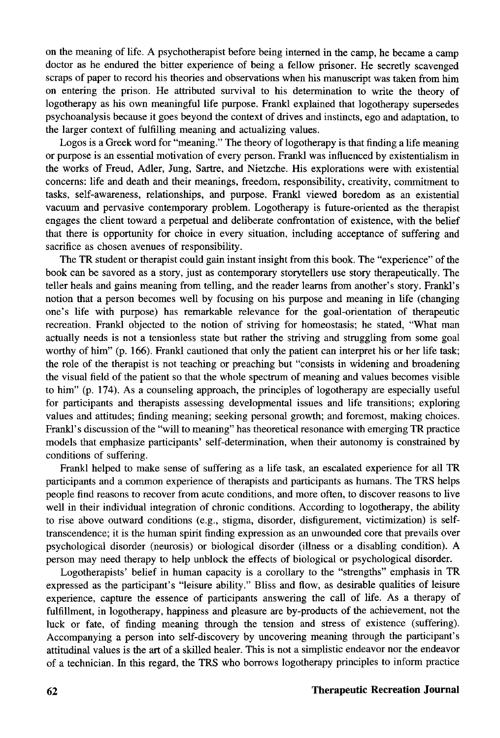on the meaning of life. A psychotherapist before being interned in the camp, he became a camp doctor as he endured the bitter experience of being a fellow prisoner. He secretly scavenged scraps of paper to record his theories and observations when his manuscript was taken from him on entering the prison. He attributed survival to his determination to write the theory of logotherapy as his own meaningful life purpose. Frankl explained that logotherapy supersedes psychoanalysis because it goes beyond the context of drives and instincts, ego and adaptation, to the larger context of fulfilling meaning and actualizing values.

Logos is a Greek word for "meaning." The theory of logotherapy is that finding a life meaning or purpose is an essential motivation of every person. Frankl was influenced by existentialism in the works of Freud, Adler, Jung, Sartre, and Nietzche. His explorations were with existential concerns: life and death and their meanings, freedom, responsibility, creativity, commitment to tasks, self-awareness, relationships, and purpose. Frankl viewed boredom as an existential vacuum and pervasive contemporary problem. Logotherapy is future-oriented as the therapist engages the client toward a perpetual and deliberate confrontation of existence, with the belief that there is opportunity for choice in every situation, including acceptance of suffering and sacrifice as chosen avenues of responsibility.

The TR student or therapist could gain instant insight from this book. The "experience" of the book can be savored as a story, just as contemporary storytellers use story therapeutically. The teller heals and gains meaning from telling, and the reader learns from another's story. Frankl's notion that a person becomes well by focusing on his purpose and meaning in life (changing one's life with purpose) has remarkable relevance for the goal-orientation of therapeutic recreation. Frankl objected to the notion of striving for homeostasis; he stated, "What man actually needs is not a tensionless state but rather the striving and struggling from some goal worthy of him" (p. 166). Frankl cautioned that only the patient can interpret his or her life task; the role of the therapist is not teaching or preaching but "consists in widening and broadening the visual field of the patient so that the whole spectrum of meaning and values becomes visible to him" (p. 174). As a counseling approach, the principles of logotherapy are especially useful for participants and therapists assessing developmental issues and life transitions; exploring values and attitudes; finding meaning; seeking personal growth; and foremost, making choices. Frankl's discussion of the "will to meaning" has theoretical resonance with emerging TR practice models that emphasize participants' self-determination, when their autonomy is constrained by conditions of suffering.

Frankl helped to make sense of suffering as a life task, an escalated experience for all TR participants and a common experience of therapists and participants as humans. The TRS helps people find reasons to recover from acute conditions, and more often, to discover reasons to live well in their individual integration of chronic conditions. According to logotherapy, the ability to rise above outward conditions (e.g., stigma, disorder, disfigurement, victimization) is selftranscendence; it is the human spirit finding expression as an unwounded core that prevails over psychological disorder (neurosis) or biological disorder (illness or a disabling condition). A person may need therapy to help unblock the effects of biological or psychological disorder.

Logotherapists' belief in human capacity is a corollary to the "strengths" emphasis in TR expressed as the participant's "leisure ability." Bliss and flow, as desirable qualities of leisure experience, capture the essence of participants answering the call of life. As a therapy of fulfillment, in logotherapy, happiness and pleasure are by-products of the achievement, not the luck or fate, of finding meaning through the tension and stress of existence (suffering). Accompanying a person into self-discovery by uncovering meaning through the participant's attitudinal values is the art of a skilled healer. This is not a simplistic endeavor nor the endeavor of a technician. In this regard, the TRS who borrows logotherapy principles to inform practice